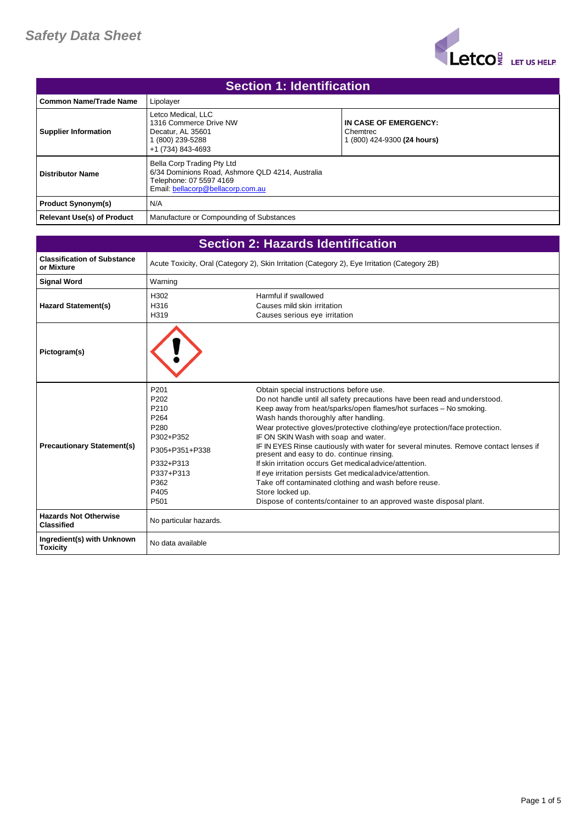

| <b>Section 1: Identification</b>  |                                                                                                                                                |                                                                  |  |
|-----------------------------------|------------------------------------------------------------------------------------------------------------------------------------------------|------------------------------------------------------------------|--|
| <b>Common Name/Trade Name</b>     | Lipolayer                                                                                                                                      |                                                                  |  |
| <b>Supplier Information</b>       | Letco Medical, LLC<br>1316 Commerce Drive NW<br>Decatur, AL 35601<br>1 (800) 239-5288<br>+1 (734) 843-4693                                     | IN CASE OF EMERGENCY:<br>Chemtrec<br>1 (800) 424-9300 (24 hours) |  |
| <b>Distributor Name</b>           | Bella Corp Trading Pty Ltd<br>6/34 Dominions Road, Ashmore QLD 4214, Australia<br>Telephone: 07 5597 4169<br>Email: bellacorp@bellacorp.com.au |                                                                  |  |
| <b>Product Synonym(s)</b>         | N/A                                                                                                                                            |                                                                  |  |
| <b>Relevant Use(s) of Product</b> | Manufacture or Compounding of Substances                                                                                                       |                                                                  |  |

| <b>Section 2: Hazards Identification</b>          |                                                                                                                                               |                                                                                                                                                                                                                                                                                                                                                                                                                                                                                                                                                                                                                                                                                                                                                                         |
|---------------------------------------------------|-----------------------------------------------------------------------------------------------------------------------------------------------|-------------------------------------------------------------------------------------------------------------------------------------------------------------------------------------------------------------------------------------------------------------------------------------------------------------------------------------------------------------------------------------------------------------------------------------------------------------------------------------------------------------------------------------------------------------------------------------------------------------------------------------------------------------------------------------------------------------------------------------------------------------------------|
| <b>Classification of Substance</b><br>or Mixture  | Acute Toxicity, Oral (Category 2), Skin Irritation (Category 2), Eye Irritation (Category 2B)                                                 |                                                                                                                                                                                                                                                                                                                                                                                                                                                                                                                                                                                                                                                                                                                                                                         |
| <b>Signal Word</b>                                | Warning                                                                                                                                       |                                                                                                                                                                                                                                                                                                                                                                                                                                                                                                                                                                                                                                                                                                                                                                         |
| <b>Hazard Statement(s)</b>                        | H302<br>H316<br>H319                                                                                                                          | Harmful if swallowed<br>Causes mild skin irritation<br>Causes serious eye irritation                                                                                                                                                                                                                                                                                                                                                                                                                                                                                                                                                                                                                                                                                    |
| Pictogram(s)                                      |                                                                                                                                               |                                                                                                                                                                                                                                                                                                                                                                                                                                                                                                                                                                                                                                                                                                                                                                         |
| <b>Precautionary Statement(s)</b>                 | P <sub>201</sub><br>P202<br>P <sub>210</sub><br>P264<br>P280<br>P302+P352<br>P305+P351+P338<br>P332+P313<br>P337+P313<br>P362<br>P405<br>P501 | Obtain special instructions before use.<br>Do not handle until all safety precautions have been read and understood.<br>Keep away from heat/sparks/open flames/hot surfaces - No smoking.<br>Wash hands thoroughly after handling.<br>Wear protective gloves/protective clothing/eye protection/face protection.<br>IF ON SKIN Wash with soap and water.<br>IF IN EYES Rinse cautiously with water for several minutes. Remove contact lenses if<br>present and easy to do. continue rinsing.<br>If skin irritation occurs Get medical advice/attention.<br>If eye irritation persists Get medical advice/attention.<br>Take off contaminated clothing and wash before reuse.<br>Store locked up.<br>Dispose of contents/container to an approved waste disposal plant. |
| <b>Hazards Not Otherwise</b><br><b>Classified</b> | No particular hazards.                                                                                                                        |                                                                                                                                                                                                                                                                                                                                                                                                                                                                                                                                                                                                                                                                                                                                                                         |
| Ingredient(s) with Unknown<br><b>Toxicity</b>     | No data available                                                                                                                             |                                                                                                                                                                                                                                                                                                                                                                                                                                                                                                                                                                                                                                                                                                                                                                         |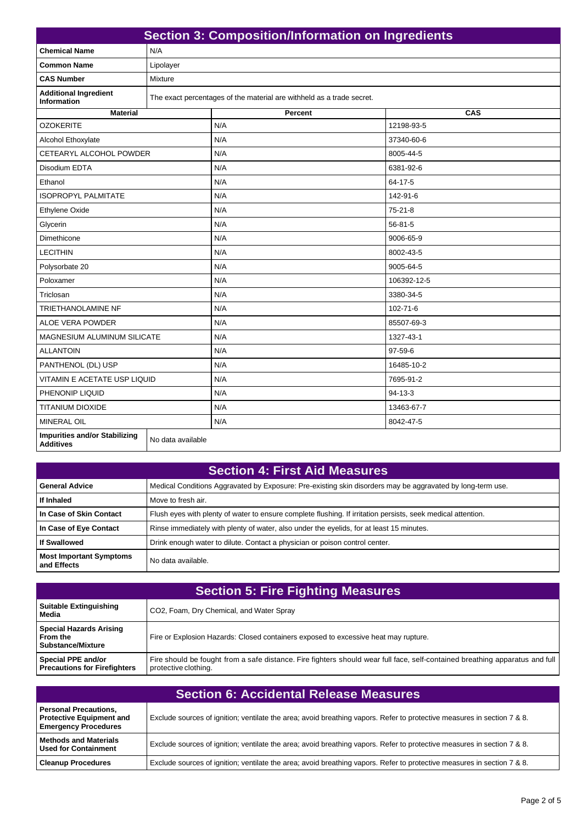| <b>Section 3: Composition/Information on Ingredients</b> |                   |                                                                       |               |
|----------------------------------------------------------|-------------------|-----------------------------------------------------------------------|---------------|
| <b>Chemical Name</b>                                     | N/A               |                                                                       |               |
| <b>Common Name</b>                                       | Lipolayer         |                                                                       |               |
| <b>CAS Number</b>                                        | Mixture           |                                                                       |               |
| <b>Additional Ingredient</b><br>Information              |                   | The exact percentages of the material are withheld as a trade secret. |               |
| <b>Material</b>                                          |                   | Percent                                                               | CAS           |
| <b>OZOKERITE</b>                                         |                   | N/A                                                                   | 12198-93-5    |
| Alcohol Ethoxylate                                       |                   | N/A                                                                   | 37340-60-6    |
| CETEARYL ALCOHOL POWDER                                  |                   | N/A                                                                   | 8005-44-5     |
| Disodium FDTA                                            |                   | N/A                                                                   | 6381-92-6     |
| Ethanol                                                  |                   | N/A                                                                   | 64-17-5       |
| <b>ISOPROPYL PALMITATE</b>                               |                   | N/A                                                                   | 142-91-6      |
| <b>Ethylene Oxide</b>                                    |                   | N/A                                                                   | $75 - 21 - 8$ |
| Glycerin                                                 |                   | N/A                                                                   | $56 - 81 - 5$ |
| Dimethicone                                              |                   | N/A                                                                   | 9006-65-9     |
| <b>LECITHIN</b>                                          |                   | N/A                                                                   | 8002-43-5     |
| Polysorbate 20                                           |                   | N/A                                                                   | 9005-64-5     |
| Poloxamer                                                |                   | N/A                                                                   | 106392-12-5   |
| Triclosan                                                |                   | N/A                                                                   | 3380-34-5     |
| <b>TRIETHANOLAMINE NF</b>                                |                   | N/A                                                                   | 102-71-6      |
| <b>ALOE VERA POWDER</b>                                  |                   | N/A                                                                   | 85507-69-3    |
| MAGNESIUM ALUMINUM SILICATE                              |                   | N/A                                                                   | 1327-43-1     |
| <b>ALLANTOIN</b>                                         |                   | N/A                                                                   | 97-59-6       |
| PANTHENOL (DL) USP                                       |                   | N/A                                                                   | 16485-10-2    |
| VITAMIN E ACETATE USP LIQUID                             |                   | N/A                                                                   | 7695-91-2     |
| PHENONIP LIQUID                                          |                   | N/A                                                                   | $94 - 13 - 3$ |
| <b>TITANIUM DIOXIDE</b>                                  |                   | N/A                                                                   | 13463-67-7    |
| <b>MINERAL OIL</b>                                       |                   | N/A                                                                   | 8042-47-5     |
| <b>Impurities and/or Stabilizing</b><br><b>Additives</b> | No data available |                                                                       |               |

## **Section 4: First Aid Measures**

| <b>General Advice</b>                         | Medical Conditions Aggravated by Exposure: Pre-existing skin disorders may be aggravated by long-term use.   |
|-----------------------------------------------|--------------------------------------------------------------------------------------------------------------|
| If Inhaled                                    | Move to fresh air.                                                                                           |
| l In Case of Skin Contact                     | Flush eyes with plenty of water to ensure complete flushing. If irritation persists, seek medical attention. |
| In Case of Eye Contact                        | Rinse immediately with plenty of water, also under the eyelids, for at least 15 minutes.                     |
| l If Swallowed                                | Drink enough water to dilute. Contact a physician or poison control center.                                  |
| <b>Most Important Symptoms</b><br>and Effects | No data available.                                                                                           |

| <b>Section 5: Fire Fighting Measures</b>                   |                                                                                                                                                      |  |
|------------------------------------------------------------|------------------------------------------------------------------------------------------------------------------------------------------------------|--|
| <b>Suitable Extinguishing</b><br>Media                     | CO2, Foam, Dry Chemical, and Water Spray                                                                                                             |  |
| Special Hazards Arising<br>l From the<br>Substance/Mixture | Fire or Explosion Hazards: Closed containers exposed to excessive heat may rupture.                                                                  |  |
| Special PPE and/or<br><b>Precautions for Firefighters</b>  | Fire should be fought from a safe distance. Fire fighters should wear full face, self-contained breathing apparatus and full<br>protective clothing. |  |

| <b>Section 6: Accidental Release Measures</b>                                                  |                                                                                                                         |  |
|------------------------------------------------------------------------------------------------|-------------------------------------------------------------------------------------------------------------------------|--|
| <b>Personal Precautions,</b><br><b>Protective Equipment and</b><br><b>Emergency Procedures</b> | Exclude sources of ignition; ventilate the area; avoid breathing vapors. Refer to protective measures in section 7 & 8. |  |
| <b>Nethods and Materials</b><br>l Used for Containment                                         | Exclude sources of ignition; ventilate the area; avoid breathing vapors. Refer to protective measures in section 7 & 8. |  |
| <b>Cleanup Procedures</b>                                                                      | Exclude sources of ignition; ventilate the area; avoid breathing vapors. Refer to protective measures in section 7 & 8. |  |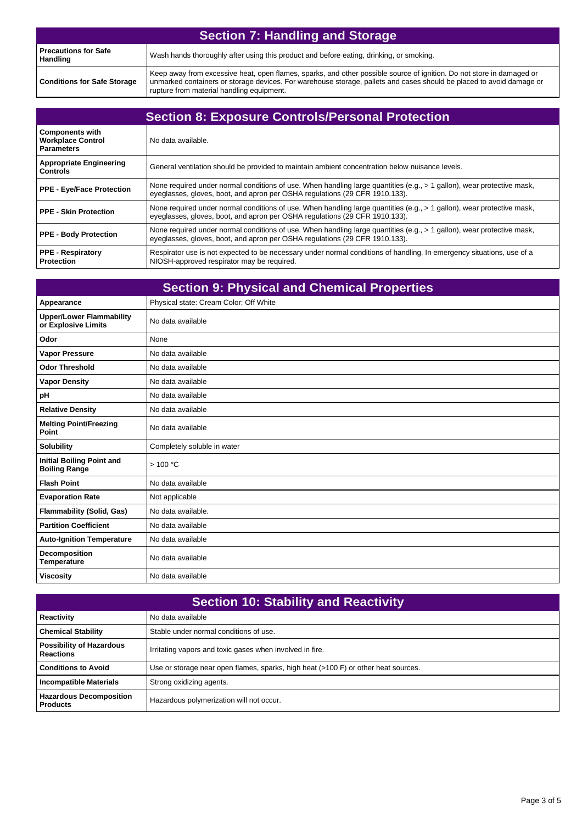| <b>Section 7: Handling and Storage</b> |                                                                                                                                                                                                                                                                                            |  |
|----------------------------------------|--------------------------------------------------------------------------------------------------------------------------------------------------------------------------------------------------------------------------------------------------------------------------------------------|--|
| l Precautions for Safe<br>Handling     | Wash hands thoroughly after using this product and before eating, drinking, or smoking.                                                                                                                                                                                                    |  |
| <b>Conditions for Safe Storage</b>     | Keep away from excessive heat, open flames, sparks, and other possible source of ignition. Do not store in damaged or<br>unmarked containers or storage devices. For warehouse storage, pallets and cases should be placed to avoid damage or<br>rupture from material handling equipment. |  |

| <b>Section 8: Exposure Controls/Personal Protection</b>                 |                                                                                                                                                                                                         |  |
|-------------------------------------------------------------------------|---------------------------------------------------------------------------------------------------------------------------------------------------------------------------------------------------------|--|
| <b>Components with</b><br><b>Workplace Control</b><br><b>Parameters</b> | No data available.                                                                                                                                                                                      |  |
| <b>Appropriate Engineering</b><br><b>Controls</b>                       | General ventilation should be provided to maintain ambient concentration below nuisance levels.                                                                                                         |  |
| <b>PPE - Eye/Face Protection</b>                                        | None required under normal conditions of use. When handling large quantities (e.g., $>1$ gallon), wear protective mask,<br>eyeglasses, gloves, boot, and apron per OSHA regulations (29 CFR 1910.133).  |  |
| <b>PPE - Skin Protection</b>                                            | None required under normal conditions of use. When handling large quantities (e.g., $> 1$ gallon), wear protective mask,<br>eyeglasses, gloves, boot, and apron per OSHA regulations (29 CFR 1910.133). |  |
| <b>PPE - Body Protection</b>                                            | None required under normal conditions of use. When handling large quantities (e.g., $> 1$ gallon), wear protective mask,<br>eyeglasses, gloves, boot, and apron per OSHA regulations (29 CFR 1910.133). |  |
| <b>PPE - Respiratory</b><br><b>Protection</b>                           | Respirator use is not expected to be necessary under normal conditions of handling. In emergency situations, use of a<br>NIOSH-approved respirator may be required.                                     |  |

| <b>Section 9: Physical and Chemical Properties</b>       |                                        |  |
|----------------------------------------------------------|----------------------------------------|--|
| Appearance                                               | Physical state: Cream Color: Off White |  |
| <b>Upper/Lower Flammability</b><br>or Explosive Limits   | No data available                      |  |
| Odor                                                     | None                                   |  |
| <b>Vapor Pressure</b>                                    | No data available                      |  |
| <b>Odor Threshold</b>                                    | No data available                      |  |
| <b>Vapor Density</b>                                     | No data available                      |  |
| pH                                                       | No data available                      |  |
| <b>Relative Density</b>                                  | No data available                      |  |
| <b>Melting Point/Freezing</b><br>Point                   | No data available                      |  |
| <b>Solubility</b>                                        | Completely soluble in water            |  |
| <b>Initial Boiling Point and</b><br><b>Boiling Range</b> | >100 °C                                |  |
| <b>Flash Point</b>                                       | No data available                      |  |
| <b>Evaporation Rate</b>                                  | Not applicable                         |  |
| <b>Flammability (Solid, Gas)</b>                         | No data available.                     |  |
| <b>Partition Coefficient</b>                             | No data available                      |  |
| <b>Auto-Ignition Temperature</b>                         | No data available                      |  |
| Decomposition<br><b>Temperature</b>                      | No data available                      |  |
| <b>Viscosity</b>                                         | No data available                      |  |

| <b>Section 10: Stability and Reactivity</b>         |                                                                                    |  |
|-----------------------------------------------------|------------------------------------------------------------------------------------|--|
| Reactivity                                          | No data available                                                                  |  |
| <b>Chemical Stability</b>                           | Stable under normal conditions of use.                                             |  |
| <b>Possibility of Hazardous</b><br><b>Reactions</b> | Irritating vapors and toxic gases when involved in fire.                           |  |
| <b>Conditions to Avoid</b>                          | Use or storage near open flames, sparks, high heat (>100 F) or other heat sources. |  |
| <b>Incompatible Materials</b>                       | Strong oxidizing agents.                                                           |  |
| <b>Hazardous Decomposition</b><br><b>Products</b>   | Hazardous polymerization will not occur.                                           |  |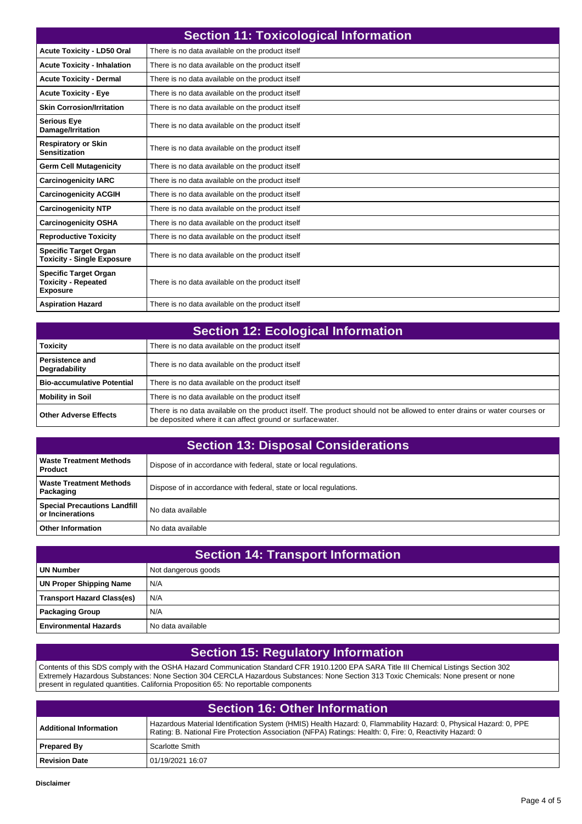| <b>Section 11: Toxicological Information</b>                                  |                                                  |  |
|-------------------------------------------------------------------------------|--------------------------------------------------|--|
| <b>Acute Toxicity - LD50 Oral</b>                                             | There is no data available on the product itself |  |
| <b>Acute Toxicity - Inhalation</b>                                            | There is no data available on the product itself |  |
| <b>Acute Toxicity - Dermal</b>                                                | There is no data available on the product itself |  |
| <b>Acute Toxicity - Eye</b>                                                   | There is no data available on the product itself |  |
| <b>Skin Corrosion/Irritation</b>                                              | There is no data available on the product itself |  |
| <b>Serious Eye</b><br>Damage/Irritation                                       | There is no data available on the product itself |  |
| <b>Respiratory or Skin</b><br><b>Sensitization</b>                            | There is no data available on the product itself |  |
| <b>Germ Cell Mutagenicity</b>                                                 | There is no data available on the product itself |  |
| <b>Carcinogenicity IARC</b>                                                   | There is no data available on the product itself |  |
| <b>Carcinogenicity ACGIH</b>                                                  | There is no data available on the product itself |  |
| <b>Carcinogenicity NTP</b>                                                    | There is no data available on the product itself |  |
| <b>Carcinogenicity OSHA</b>                                                   | There is no data available on the product itself |  |
| <b>Reproductive Toxicity</b>                                                  | There is no data available on the product itself |  |
| <b>Specific Target Organ</b><br><b>Toxicity - Single Exposure</b>             | There is no data available on the product itself |  |
| <b>Specific Target Organ</b><br><b>Toxicity - Repeated</b><br><b>Exposure</b> | There is no data available on the product itself |  |
| <b>Aspiration Hazard</b>                                                      | There is no data available on the product itself |  |

| <b>Section 12: Ecological Information</b> |                                                                                                                                                                                     |  |
|-------------------------------------------|-------------------------------------------------------------------------------------------------------------------------------------------------------------------------------------|--|
| <b>Toxicity</b>                           | There is no data available on the product itself                                                                                                                                    |  |
| <b>Persistence and</b><br>Degradability   | There is no data available on the product itself                                                                                                                                    |  |
| <b>Bio-accumulative Potential</b>         | There is no data available on the product itself                                                                                                                                    |  |
| <b>Mobility in Soil</b>                   | There is no data available on the product itself                                                                                                                                    |  |
| <b>Other Adverse Effects</b>              | There is no data available on the product itself. The product should not be allowed to enter drains or water courses or<br>be deposited where it can affect ground or surfacewater. |  |

| <b>Section 13: Disposal Considerations</b>                |                                                                    |  |
|-----------------------------------------------------------|--------------------------------------------------------------------|--|
| Waste Treatment Methods<br><b>Product</b>                 | Dispose of in accordance with federal, state or local regulations. |  |
| l Waste Treatment Methods<br>  Packaging                  | Dispose of in accordance with federal, state or local regulations. |  |
| <b>Special Precautions Landfill</b><br>l or Incinerations | No data available                                                  |  |
| <b>Other Information</b>                                  | No data available                                                  |  |

| <b>Section 14: Transport Information</b> |                     |  |
|------------------------------------------|---------------------|--|
| UN Number                                | Not dangerous goods |  |
| <b>UN Proper Shipping Name</b>           | N/A                 |  |
| <b>Transport Hazard Class(es)</b>        | N/A                 |  |
| <b>Packaging Group</b>                   | N/A                 |  |
| <b>Environmental Hazards</b>             | No data available   |  |

## **Section 15: Regulatory Information**

Contents of this SDS comply with the OSHA Hazard Communication Standard CFR 1910.1200 EPA SARA Title III Chemical Listings Section 302 Extremely Hazardous Substances: None Section 304 CERCLA Hazardous Substances: None Section 313 Toxic Chemicals: None present or none present in regulated quantities. California Proposition 65: No reportable components

| Section 16: Other Information |                                                                                                                                                                                                                               |  |
|-------------------------------|-------------------------------------------------------------------------------------------------------------------------------------------------------------------------------------------------------------------------------|--|
| <b>Additional Information</b> | Hazardous Material Identification System (HMIS) Health Hazard: 0, Flammability Hazard: 0, Physical Hazard: 0, PPE<br>Rating: B. National Fire Protection Association (NFPA) Ratings: Health: 0, Fire: 0, Reactivity Hazard: 0 |  |
| <b>Prepared By</b>            | Scarlotte Smith                                                                                                                                                                                                               |  |
| <b>Revision Date</b>          | 01/19/2021 16:07                                                                                                                                                                                                              |  |